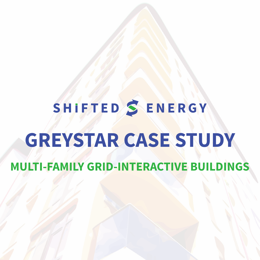## SHIFTED SENERGY **GREYSTAR CASE STUDY MULTI-FAMILY GRID-INTERACTIVE BUILDINGS**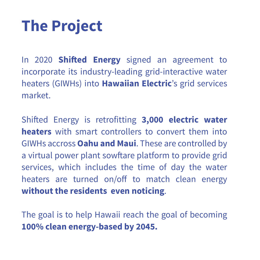### **The Project**

In 2020 **Shifted Energy** signed an agreement to incorporate its industry-leading grid-interactive water heaters (GIWHs) into **Hawaiian Electric**'s grid services market.

Shifted Energy is retrofitting **3,000 electric water heaters** with smart controllers to convert them into GIWHs accross **Oahu and Maui**. These are controlled by a virtual power plant sowftare platform to provide grid services, which includes the time of day the water heaters are turned on/off to match clean energy **without the residents even noticing**.

The goal is to help Hawaii reach the goal of becoming **100% clean energy-based by 2045.**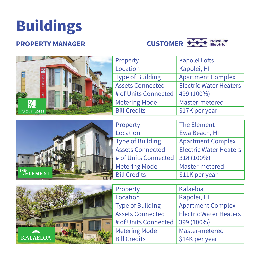## **Buildings**

#### **PROPERTY MANAGER**







| Property                | The Element                   |
|-------------------------|-------------------------------|
| Location                | Ewa Beach, HI                 |
| <b>Type of Building</b> | <b>Apartment Complex</b>      |
| <b>Assets Connected</b> | <b>Electric Water Heaters</b> |
| # of Units Connected    | 318 (100%)                    |
| <b>Metering Mode</b>    | Master-metered                |
| <b>Bill Credits</b>     | \$11K per year                |



| Property                | Kalaeloa                      |
|-------------------------|-------------------------------|
| Location                | Kapolei, HI                   |
| <b>Type of Building</b> | <b>Apartment Complex</b>      |
| <b>Assets Connected</b> | <b>Electric Water Heaters</b> |
| # of Units Connected    | 399 (100%)                    |
| <b>Metering Mode</b>    | Master-metered                |
| <b>Bill Credits</b>     | \$14K per year                |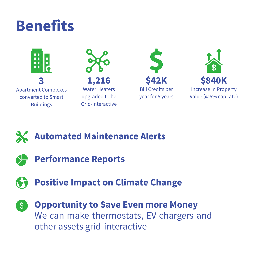### **Benefits**



**3** Apartment Complexes converted to Smart Buildings







### **Automated Maintenance Alerts**



**Performance Reports**



**Positive Impact on Climate Change**

**Opportunity to Save Even more Money**  $\left[ \text{S}\right]$ We can make thermostats, EV chargers and other assets grid-interactive